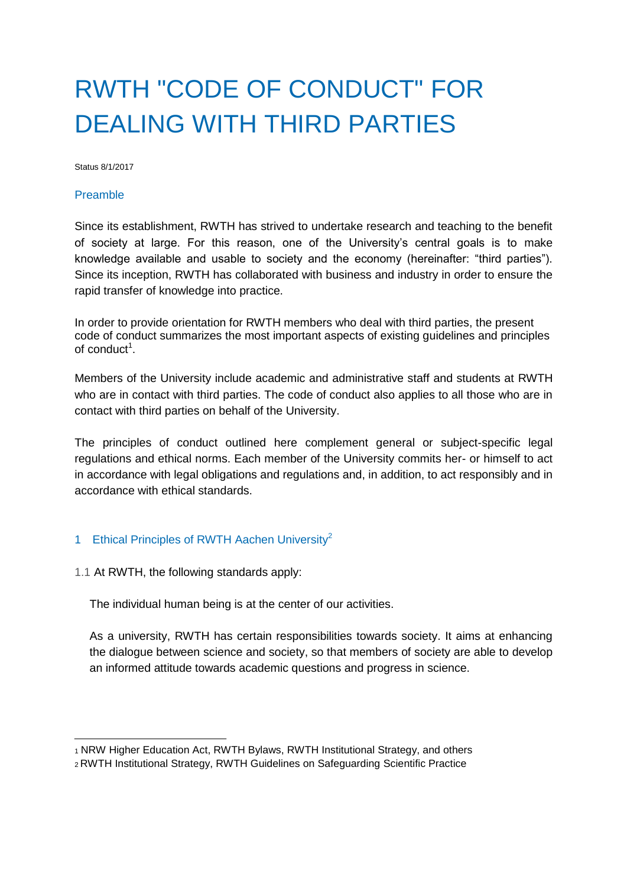# RWTH "CODE OF CONDUCT" FOR DEALING WITH THIRD PARTIES

Status 8/1/2017

#### Preamble

Since its establishment, RWTH has strived to undertake research and teaching to the benefit of society at large. For this reason, one of the University's central goals is to make knowledge available and usable to society and the economy (hereinafter: "third parties"). Since its inception, RWTH has collaborated with business and industry in order to ensure the rapid transfer of knowledge into practice.

In order to provide orientation for RWTH members who deal with third parties, the present code of conduct summarizes the most important aspects of existing guidelines and principles of conduct<sup>1</sup>.

Members of the University include academic and administrative staff and students at RWTH who are in contact with third parties. The code of conduct also applies to all those who are in contact with third parties on behalf of the University.

The principles of conduct outlined here complement general or subject-specific legal regulations and ethical norms. Each member of the University commits her- or himself to act in accordance with legal obligations and regulations and, in addition, to act responsibly and in accordance with ethical standards.

### 1 Ethical Principles of RWTH Aachen University<sup>2</sup>

1.1 At RWTH, the following standards apply:

The individual human being is at the center of our activities.

As a university, RWTH has certain responsibilities towards society. It aims at enhancing the dialogue between science and society, so that members of society are able to develop an informed attitude towards academic questions and progress in science.

<sup>1</sup> NRW Higher Education Act, RWTH Bylaws, RWTH Institutional Strategy, and others

<sup>2</sup> RWTH Institutional Strategy, RWTH Guidelines on Safeguarding Scientific Practice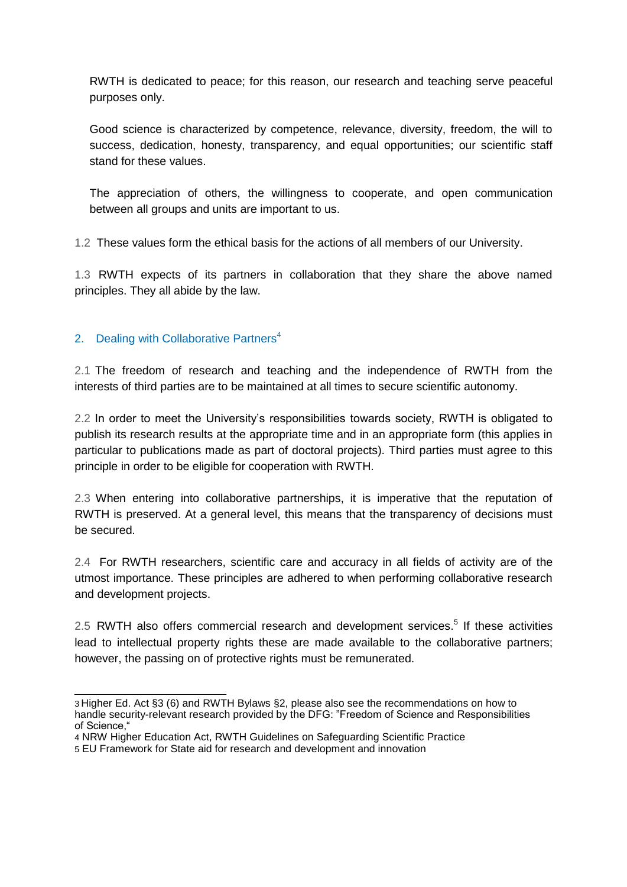RWTH is dedicated to peace; for this reason, our research and teaching serve peaceful purposes only.

Good science is characterized by competence, relevance, diversity, freedom, the will to success, dedication, honesty, transparency, and equal opportunities; our scientific staff stand for these values.

The appreciation of others, the willingness to cooperate, and open communication between all groups and units are important to us.

1.2 These values form the ethical basis for the actions of all members of our University.

1.3 RWTH expects of its partners in collaboration that they share the above named principles. They all abide by the law.

# 2. Dealing with Collaborative Partners<sup>4</sup>

2.1 The freedom of research and teaching and the independence of RWTH from the interests of third parties are to be maintained at all times to secure scientific autonomy.

2.2 In order to meet the University's responsibilities towards society, RWTH is obligated to publish its research results at the appropriate time and in an appropriate form (this applies in particular to publications made as part of doctoral projects). Third parties must agree to this principle in order to be eligible for cooperation with RWTH.

2.3 When entering into collaborative partnerships, it is imperative that the reputation of RWTH is preserved. At a general level, this means that the transparency of decisions must be secured.

2.4 For RWTH researchers, scientific care and accuracy in all fields of activity are of the utmost importance. These principles are adhered to when performing collaborative research and development projects.

2.5 RWTH also offers commercial research and development services.<sup>5</sup> If these activities lead to intellectual property rights these are made available to the collaborative partners; however, the passing on of protective rights must be remunerated.

<sup>3</sup> Higher Ed. Act §3 (6) and RWTH Bylaws §2, please also see the recommendations on how to handle security-relevant research provided by the DFG: "Freedom of Science and Responsibilities of Science,"

<sup>4</sup> NRW Higher Education Act, RWTH Guidelines on Safeguarding Scientific Practice

<sup>5</sup> EU Framework for State aid for research and development and innovation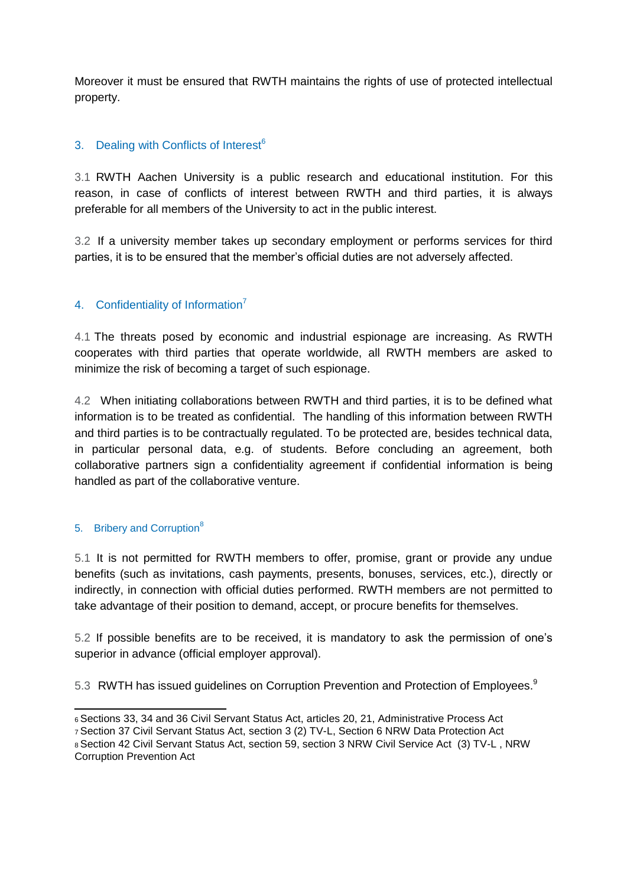Moreover it must be ensured that RWTH maintains the rights of use of protected intellectual property.

## 3. Dealing with Conflicts of Interest<sup>6</sup>

3.1 RWTH Aachen University is a public research and educational institution. For this reason, in case of conflicts of interest between RWTH and third parties, it is always preferable for all members of the University to act in the public interest.

3.2 If a university member takes up secondary employment or performs services for third parties, it is to be ensured that the member's official duties are not adversely affected.

### 4. Confidentiality of Information<sup>7</sup>

4.1 The threats posed by economic and industrial espionage are increasing. As RWTH cooperates with third parties that operate worldwide, all RWTH members are asked to minimize the risk of becoming a target of such espionage.

4.2 When initiating collaborations between RWTH and third parties, it is to be defined what information is to be treated as confidential. The handling of this information between RWTH and third parties is to be contractually regulated. To be protected are, besides technical data, in particular personal data, e.g. of students. Before concluding an agreement, both collaborative partners sign a confidentiality agreement if confidential information is being handled as part of the collaborative venture.

#### 5. Bribery and Corruption<sup>8</sup>

5.1 It is not permitted for RWTH members to offer, promise, grant or provide any undue benefits (such as invitations, cash payments, presents, bonuses, services, etc.), directly or indirectly, in connection with official duties performed. RWTH members are not permitted to take advantage of their position to demand, accept, or procure benefits for themselves.

5.2 If possible benefits are to be received, it is mandatory to ask the permission of one's superior in advance (official employer approval).

5.3 RWTH has issued guidelines on Corruption Prevention and Protection of Employees.<sup>9</sup>

<sup>6</sup>Sections 33, 34 and 36 Civil Servant Status Act, articles 20, 21, Administrative Process Act

<sup>7</sup>Section 37 Civil Servant Status Act, section 3 (2) TV-L, Section 6 NRW Data Protection Act 8 Section 42 Civil Servant Status Act, section 59, section 3 NRW Civil Service Act (3) TV-L, NRW Corruption Prevention Act